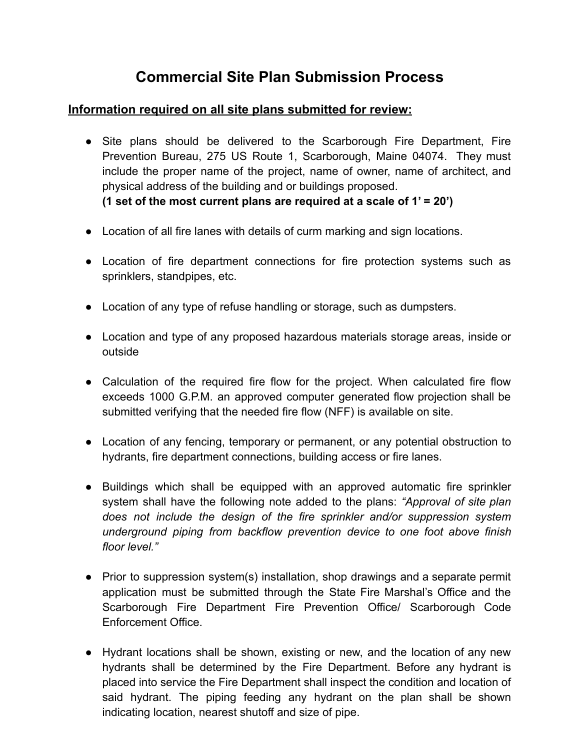# **Commercial Site Plan Submission Process**

#### **Information required on all site plans submitted for review:**

- Site plans should be delivered to the Scarborough Fire Department, Fire Prevention Bureau, 275 US Route 1, Scarborough, Maine 04074. They must include the proper name of the project, name of owner, name of architect, and physical address of the building and or buildings proposed. **(1 set of the most current plans are required at a scale of 1' = 20')**
- Location of all fire lanes with details of curm marking and sign locations.
- Location of fire department connections for fire protection systems such as sprinklers, standpipes, etc.
- Location of any type of refuse handling or storage, such as dumpsters.
- Location and type of any proposed hazardous materials storage areas, inside or outside
- Calculation of the required fire flow for the project. When calculated fire flow exceeds 1000 G.P.M. an approved computer generated flow projection shall be submitted verifying that the needed fire flow (NFF) is available on site.
- Location of any fencing, temporary or permanent, or any potential obstruction to hydrants, fire department connections, building access or fire lanes.
- Buildings which shall be equipped with an approved automatic fire sprinkler system shall have the following note added to the plans: *"Approval of site plan does not include the design of the fire sprinkler and/or suppression system underground piping from backflow prevention device to one foot above finish floor level."*
- Prior to suppression system(s) installation, shop drawings and a separate permit application must be submitted through the State Fire Marshal's Office and the Scarborough Fire Department Fire Prevention Office/ Scarborough Code Enforcement Office.
- Hydrant locations shall be shown, existing or new, and the location of any new hydrants shall be determined by the Fire Department. Before any hydrant is placed into service the Fire Department shall inspect the condition and location of said hydrant. The piping feeding any hydrant on the plan shall be shown indicating location, nearest shutoff and size of pipe.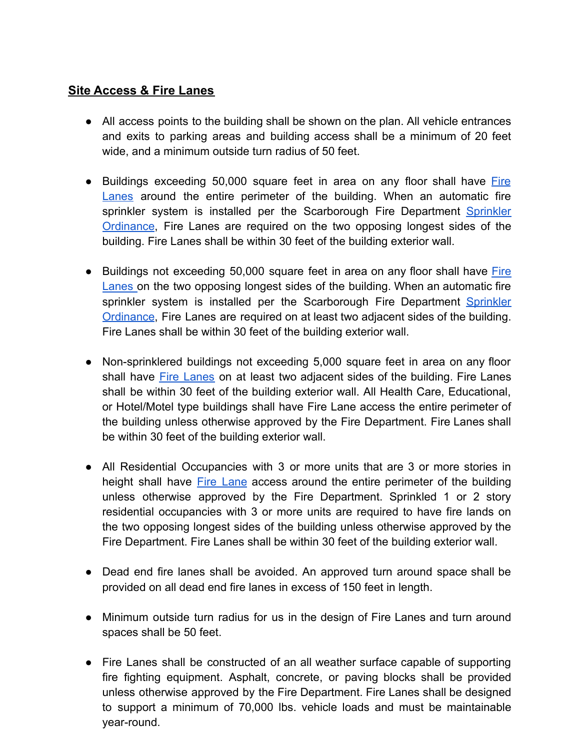## **Site Access & Fire Lanes**

- All access points to the building shall be shown on the plan. All vehicle entrances and exits to parking areas and building access shall be a minimum of 20 feet wide, and a minimum outside turn radius of 50 feet.
- Buildings exceeding 50,000 square feet in area on any floor shall have [Fire](https://resources.finalsite.net/images/v1634825301/scarboroughmaineorg/bvzpk2patkur6j77rhtz/306-Fire-Lanes-Established.pdf) [Lanes](https://resources.finalsite.net/images/v1634825301/scarboroughmaineorg/bvzpk2patkur6j77rhtz/306-Fire-Lanes-Established.pdf) around the entire perimeter of the building. When an automatic fire sprinkler system is installed per the Scarborough Fire Department [Sprinkler](https://resources.finalsite.net/images/v1634825301/scarboroughmaineorg/o0y20ib2w2yc63chvdmx/305-Sprinkler-System-Ordinance.pdf) [Ordinance](https://resources.finalsite.net/images/v1634825301/scarboroughmaineorg/o0y20ib2w2yc63chvdmx/305-Sprinkler-System-Ordinance.pdf), Fire Lanes are required on the two opposing longest sides of the building. Fire Lanes shall be within 30 feet of the building exterior wall.
- Buildings not exceeding 50,000 square feet in area on any floor shall have [Fire](https://resources.finalsite.net/images/v1634825301/scarboroughmaineorg/bvzpk2patkur6j77rhtz/306-Fire-Lanes-Established.pdf) [Lanes](https://resources.finalsite.net/images/v1634825301/scarboroughmaineorg/bvzpk2patkur6j77rhtz/306-Fire-Lanes-Established.pdf) on the two opposing longest sides of the building. When an automatic fire sprinkler system is installed per the Scarborough Fire Department [Sprinkler](https://resources.finalsite.net/images/v1634825301/scarboroughmaineorg/o0y20ib2w2yc63chvdmx/305-Sprinkler-System-Ordinance.pdf) [Ordinance](https://resources.finalsite.net/images/v1634825301/scarboroughmaineorg/o0y20ib2w2yc63chvdmx/305-Sprinkler-System-Ordinance.pdf), Fire Lanes are required on at least two adjacent sides of the building. Fire Lanes shall be within 30 feet of the building exterior wall.
- Non-sprinklered buildings not exceeding 5,000 square feet in area on any floor shall have Fire [Lanes](https://resources.finalsite.net/images/v1634825301/scarboroughmaineorg/bvzpk2patkur6j77rhtz/306-Fire-Lanes-Established.pdf) on at least two adjacent sides of the building. Fire Lanes shall be within 30 feet of the building exterior wall. All Health Care, Educational, or Hotel/Motel type buildings shall have Fire Lane access the entire perimeter of the building unless otherwise approved by the Fire Department. Fire Lanes shall be within 30 feet of the building exterior wall.
- All Residential Occupancies with 3 or more units that are 3 or more stories in height shall have Fire [Lane](https://resources.finalsite.net/images/v1634825301/scarboroughmaineorg/bvzpk2patkur6j77rhtz/306-Fire-Lanes-Established.pdf) access around the entire perimeter of the building unless otherwise approved by the Fire Department. Sprinkled 1 or 2 story residential occupancies with 3 or more units are required to have fire lands on the two opposing longest sides of the building unless otherwise approved by the Fire Department. Fire Lanes shall be within 30 feet of the building exterior wall.
- Dead end fire lanes shall be avoided. An approved turn around space shall be provided on all dead end fire lanes in excess of 150 feet in length.
- Minimum outside turn radius for us in the design of Fire Lanes and turn around spaces shall be 50 feet.
- Fire Lanes shall be constructed of an all weather surface capable of supporting fire fighting equipment. Asphalt, concrete, or paving blocks shall be provided unless otherwise approved by the Fire Department. Fire Lanes shall be designed to support a minimum of 70,000 lbs. vehicle loads and must be maintainable year-round.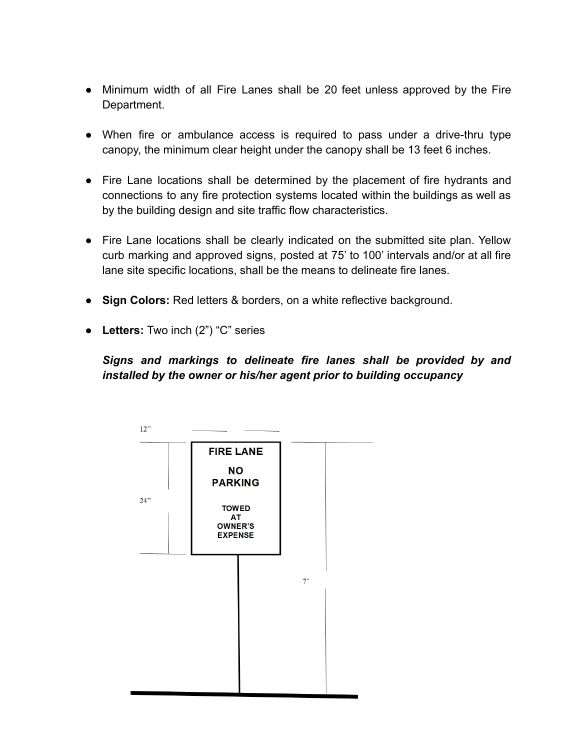- Minimum width of all Fire Lanes shall be 20 feet unless approved by the Fire Department.
- When fire or ambulance access is required to pass under a drive-thru type canopy, the minimum clear height under the canopy shall be 13 feet 6 inches.
- Fire Lane locations shall be determined by the placement of fire hydrants and connections to any fire protection systems located within the buildings as well as by the building design and site traffic flow characteristics.
- Fire Lane locations shall be clearly indicated on the submitted site plan. Yellow curb marking and approved signs, posted at 75' to 100' intervals and/or at all fire lane site specific locations, shall be the means to delineate fire lanes.
- **Sign Colors:** Red letters & borders, on a white reflective background.
- **Letters:** Two inch (2") "C" series

*Signs and markings to delineate fire lanes shall be provided by and installed by the owner or his/her agent prior to building occupancy*

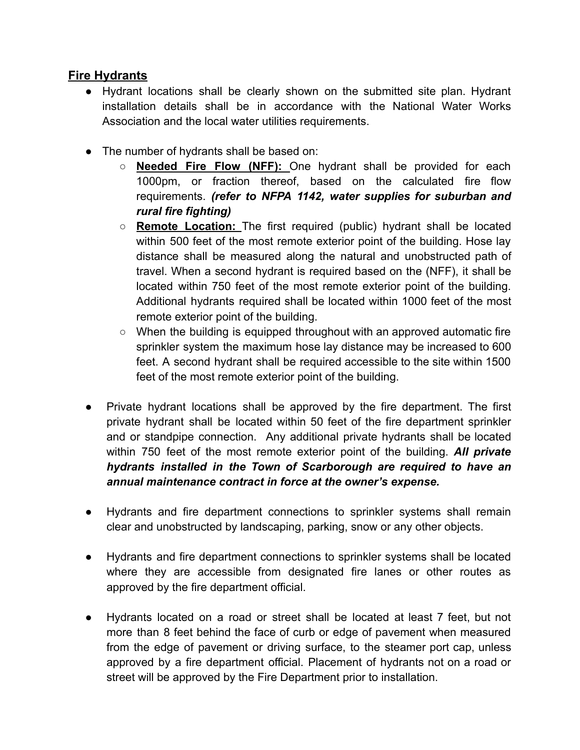#### **Fire Hydrants**

- Hydrant locations shall be clearly shown on the submitted site plan. Hydrant installation details shall be in accordance with the National Water Works Association and the local water utilities requirements.
- The number of hydrants shall be based on:
	- **○ Needed Fire Flow (NFF):** One hydrant shall be provided for each 1000pm, or fraction thereof, based on the calculated fire flow requirements. *(refer to NFPA 1142, water supplies for suburban and rural fire fighting)*
	- **○ Remote Location:** The first required (public) hydrant shall be located within 500 feet of the most remote exterior point of the building. Hose lay distance shall be measured along the natural and unobstructed path of travel. When a second hydrant is required based on the (NFF), it shall be located within 750 feet of the most remote exterior point of the building. Additional hydrants required shall be located within 1000 feet of the most remote exterior point of the building.
	- When the building is equipped throughout with an approved automatic fire sprinkler system the maximum hose lay distance may be increased to 600 feet. A second hydrant shall be required accessible to the site within 1500 feet of the most remote exterior point of the building.
- Private hydrant locations shall be approved by the fire department. The first private hydrant shall be located within 50 feet of the fire department sprinkler and or standpipe connection. Any additional private hydrants shall be located within 750 feet of the most remote exterior point of the building. *All private hydrants installed in the Town of Scarborough are required to have an annual maintenance contract in force at the owner's expense.*
- Hydrants and fire department connections to sprinkler systems shall remain clear and unobstructed by landscaping, parking, snow or any other objects.
- Hydrants and fire department connections to sprinkler systems shall be located where they are accessible from designated fire lanes or other routes as approved by the fire department official.
- Hydrants located on a road or street shall be located at least 7 feet, but not more than 8 feet behind the face of curb or edge of pavement when measured from the edge of pavement or driving surface, to the steamer port cap, unless approved by a fire department official. Placement of hydrants not on a road or street will be approved by the Fire Department prior to installation.